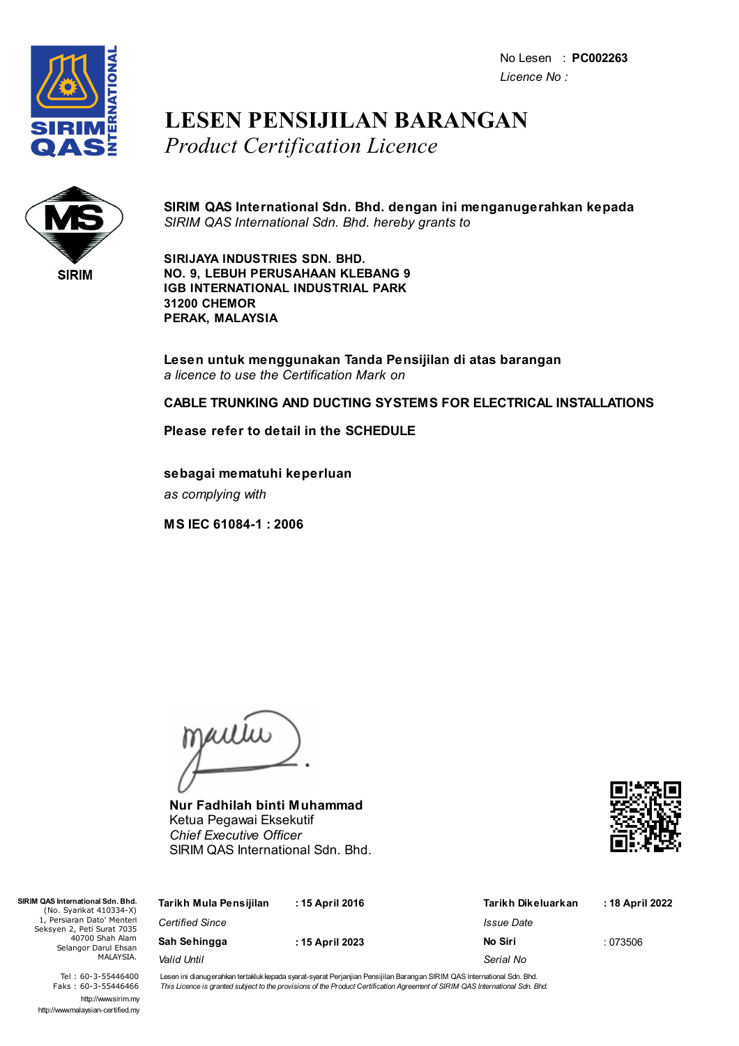

### **LESEN PENSIJILAN BARANGAN** *Product Certification Licence*



**SIRIM QAS International Sdn. Bhd. dengan ini menganugerahkan kepada** *SIRIM QAS International Sdn. Bhd. hereby grants to*

**SIRIJAYA INDUSTRIES SDN. BHD. NO. 9, LEBUH PERUSAHAAN KLEBANG 9 IGB INTERNATIONAL INDUSTRIAL PARK 31200 CHEMOR PERAK, MALAYSIA**

**Lesen untuk menggunakan Tanda Pensijilan di atas barangan** *a licence to use the Certification Mark on*

**CABLE TRUNKING AND DUCTING SYSTEMS FOR ELECTRICAL INSTALLATIONS**

**Please refer to detail in the SCHEDULE**

**sebagai mematuhi keperluan** *as complying with*

**MS IEC 61084-1 : 2006**

jailie

**Nur Fadhilah binti Muhammad** Ketua Pegawai Eksekutif *Chief Executive Officer* SIRIM QAS International Sdn. Bhd.



| SIRIM QAS International Sdn. Bhd.<br>(No. Syarikat 410334-X)                                                     | Tarikh Mula Pensijilan | : 15 April 2016 | Tarikh Dikeluarkan | : 18 April 2022 |
|------------------------------------------------------------------------------------------------------------------|------------------------|-----------------|--------------------|-----------------|
| 1. Persiaran Dato' Menteri<br>Seksyen 2, Peti Surat 7035<br>40700 Shah Alam<br>Selangor Darul Ehsan<br>MALAYSIA. | <b>Certified Since</b> |                 | Issue Date         |                 |
|                                                                                                                  | Sah Sehingga           | : 15 April 2023 | No Siri            | :073506         |
|                                                                                                                  | Valid Until            |                 | Serial No          |                 |

Tel : 60-3-55446400 Faks : 60-3-55446466 http://www.sirim.my http://www.malaysian-certified.my Lesen ini dianugerahkan tertakluk kepada syarat-syarat Perjanjian Pensijilan Barangan SIRIM QAS International Sdn. Bhd. This Licence is granted subject to the provisions of the Product Certification Agreement of SIRIM QAS International Sdn. Bhd.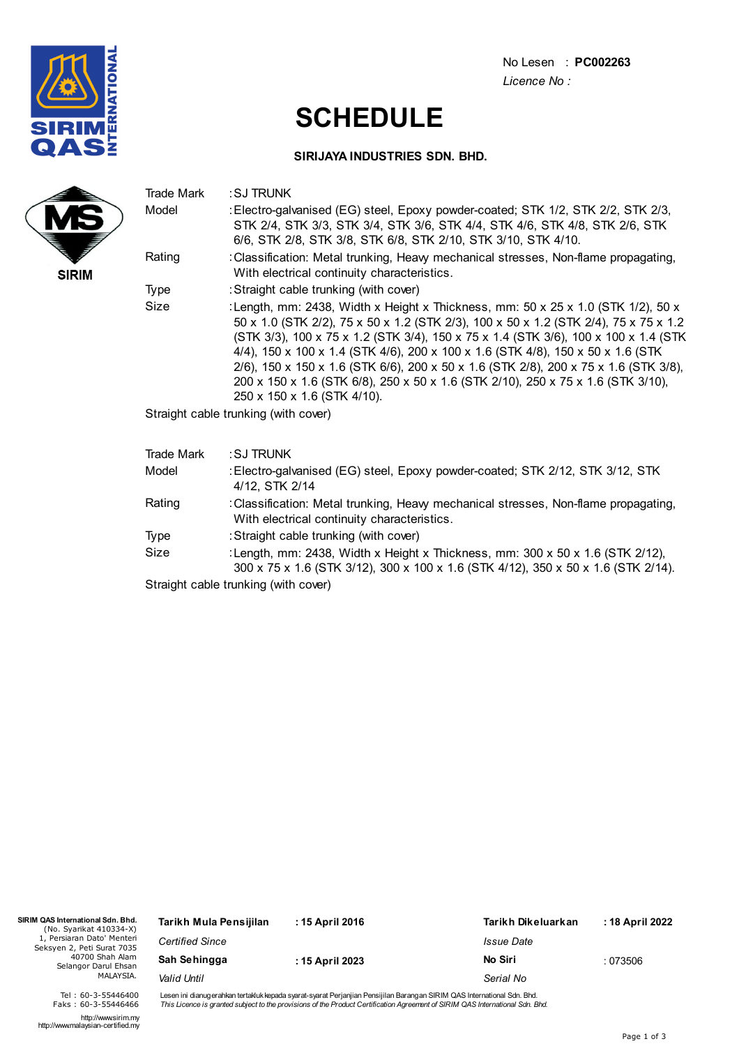

## **SCHEDULE**

#### **SIRIJAYA INDUSTRIES SDN. BHD.**

|              | Trade Mark                           | : SJ TRUNK                                                                                                                                                                                                                                                                                                                                                                                                                                                                                                                                                                        |  |  |  |
|--------------|--------------------------------------|-----------------------------------------------------------------------------------------------------------------------------------------------------------------------------------------------------------------------------------------------------------------------------------------------------------------------------------------------------------------------------------------------------------------------------------------------------------------------------------------------------------------------------------------------------------------------------------|--|--|--|
|              | Model                                | : Electro-galvanised (EG) steel, Epoxy powder-coated; STK 1/2, STK 2/2, STK 2/3,<br>STK 2/4, STK 3/3, STK 3/4, STK 3/6, STK 4/4, STK 4/6, STK 4/8, STK 2/6, STK<br>6/6, STK 2/8, STK 3/8, STK 6/8, STK 2/10, STK 3/10, STK 4/10.                                                                                                                                                                                                                                                                                                                                                  |  |  |  |
| <b>SIRIM</b> | Rating                               | : Classification: Metal trunking, Heavy mechanical stresses, Non-flame propagating,<br>With electrical continuity characteristics.                                                                                                                                                                                                                                                                                                                                                                                                                                                |  |  |  |
|              | Type                                 | : Straight cable trunking (with cover)                                                                                                                                                                                                                                                                                                                                                                                                                                                                                                                                            |  |  |  |
|              | Size                                 | : Length, mm: 2438, Width x Height x Thickness, mm: $50 \times 25 \times 1.0$ (STK 1/2), $50 \times$<br>50 x 1.0 (STK 2/2), 75 x 50 x 1.2 (STK 2/3), 100 x 50 x 1.2 (STK 2/4), 75 x 75 x 1.2<br>(STK 3/3), 100 x 75 x 1.2 (STK 3/4), 150 x 75 x 1.4 (STK 3/6), 100 x 100 x 1.4 (STK<br>4/4), 150 x 100 x 1.4 (STK 4/6), 200 x 100 x 1.6 (STK 4/8), 150 x 50 x 1.6 (STK<br>2/6), 150 x 150 x 1.6 (STK 6/6), 200 x 50 x 1.6 (STK 2/8), 200 x 75 x 1.6 (STK 3/8),<br>200 x 150 x 1.6 (STK 6/8), 250 x 50 x 1.6 (STK 2/10), 250 x 75 x 1.6 (STK 3/10),<br>250 x 150 x 1.6 (STK 4/10). |  |  |  |
|              | Straight cable trunking (with cover) |                                                                                                                                                                                                                                                                                                                                                                                                                                                                                                                                                                                   |  |  |  |
|              | Trade Mark                           | : SJ TRUNK                                                                                                                                                                                                                                                                                                                                                                                                                                                                                                                                                                        |  |  |  |
|              | Model                                | : Electro-galvanised (EG) steel, Epoxy powder-coated; STK 2/12, STK 3/12, STK<br>4/12, STK 2/14                                                                                                                                                                                                                                                                                                                                                                                                                                                                                   |  |  |  |
|              | Rating                               | : Classification: Metal trunking, Heavy mechanical stresses, Non-flame propagating,<br>With electrical continuity characteristics.                                                                                                                                                                                                                                                                                                                                                                                                                                                |  |  |  |

- Type : Straight cable trunking (with cover)
- Size :Length, mm: 2438, Width x Height x Thickness, mm: 300 x 50 x 1.6 (STK 2/12), 300 x 75 x 1.6 (STK 3/12), 300 x 100 x 1.6 (STK 4/12), 350 x 50 x 1.6 (STK 2/14).

Straight cable trunking (with cover)

| SIRIM QAS International Sdn. Bhd.<br>(No. Syarikat 410334-X) | Tarikh Mula Pensijilan                         | : 15 April 2016 | Tarikh Dikeluarkan | : 18 April 2022 |
|--------------------------------------------------------------|------------------------------------------------|-----------------|--------------------|-----------------|
| 1. Persiaran Dato' Menteri<br>Seksyen 2, Peti Surat 7035     | <b>Certified Since</b>                         |                 | Issue Date         |                 |
| 40700 Shah Alam<br>Selangor Darul Ehsan<br>MALAYSIA.         | Sah Sehingga<br>: 15 April 2023<br>Valid Until |                 | No Siri            | :073506         |
|                                                              |                                                |                 | Serial No          |                 |
|                                                              |                                                |                 |                    |                 |

Lesen ini dianugerahkan tertakluk kepada syarat-syarat Perjanjian Pensijilan Barangan SIRIM QAS International Sdn. Bhd.<br>*This Licence is granted subject to the provisions of the Product Certification Agreement of SIRIM QAS* 

http://www.sirim.my http://www.malaysian-certified.my

Tel : 60-3-55446400 Faks : 60-3-55446466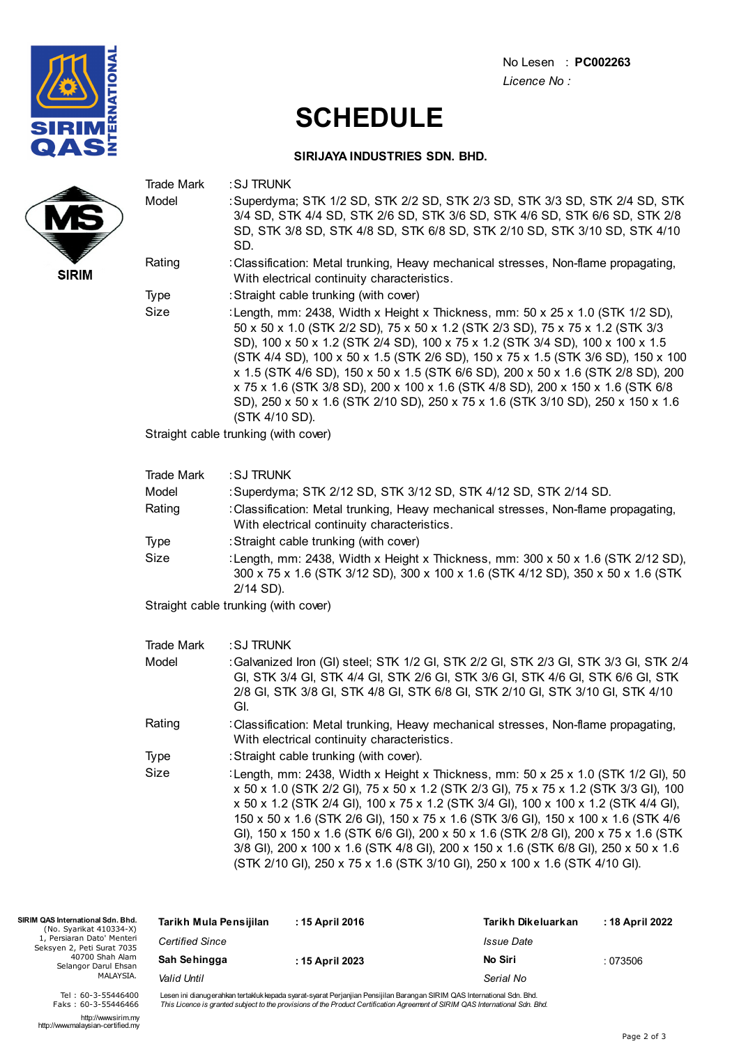

# **SCHEDULE**

#### **SIRIJAYA INDUSTRIES SDN. BHD.**

|              | Trade Mark<br>Model                  | : SJ TRUNK<br>: Superdyma; STK 1/2 SD, STK 2/2 SD, STK 2/3 SD, STK 3/3 SD, STK 2/4 SD, STK<br>3/4 SD, STK 4/4 SD, STK 2/6 SD, STK 3/6 SD, STK 4/6 SD, STK 6/6 SD, STK 2/8<br>SD, STK 3/8 SD, STK 4/8 SD, STK 6/8 SD, STK 2/10 SD, STK 3/10 SD, STK 4/10<br>SD.                                                                                                                                                                                                                                                                                                                                                         |  |  |  |
|--------------|--------------------------------------|------------------------------------------------------------------------------------------------------------------------------------------------------------------------------------------------------------------------------------------------------------------------------------------------------------------------------------------------------------------------------------------------------------------------------------------------------------------------------------------------------------------------------------------------------------------------------------------------------------------------|--|--|--|
| <b>SIRIM</b> | Rating                               | : Classification: Metal trunking, Heavy mechanical stresses, Non-flame propagating,<br>With electrical continuity characteristics.                                                                                                                                                                                                                                                                                                                                                                                                                                                                                     |  |  |  |
|              | Type                                 | : Straight cable trunking (with cover)                                                                                                                                                                                                                                                                                                                                                                                                                                                                                                                                                                                 |  |  |  |
|              | Size                                 | : Length, mm: 2438, Width x Height x Thickness, mm: 50 x 25 x 1.0 (STK 1/2 SD),<br>50 x 50 x 1.0 (STK 2/2 SD), 75 x 50 x 1.2 (STK 2/3 SD), 75 x 75 x 1.2 (STK 3/3<br>SD), 100 x 50 x 1.2 (STK 2/4 SD), 100 x 75 x 1.2 (STK 3/4 SD), 100 x 100 x 1.5<br>(STK 4/4 SD), 100 x 50 x 1.5 (STK 2/6 SD), 150 x 75 x 1.5 (STK 3/6 SD), 150 x 100<br>x 1.5 (STK 4/6 SD), 150 x 50 x 1.5 (STK 6/6 SD), 200 x 50 x 1.6 (STK 2/8 SD), 200<br>x 75 x 1.6 (STK 3/8 SD), 200 x 100 x 1.6 (STK 4/8 SD), 200 x 150 x 1.6 (STK 6/8<br>SD), 250 x 50 x 1.6 (STK 2/10 SD), 250 x 75 x 1.6 (STK 3/10 SD), 250 x 150 x 1.6<br>(STK 4/10 SD). |  |  |  |
|              |                                      | Straight cable trunking (with cover)                                                                                                                                                                                                                                                                                                                                                                                                                                                                                                                                                                                   |  |  |  |
|              | <b>Trade Mark</b>                    | : SJ TRUNK                                                                                                                                                                                                                                                                                                                                                                                                                                                                                                                                                                                                             |  |  |  |
|              | Model                                | : Superdyma; STK 2/12 SD, STK 3/12 SD, STK 4/12 SD, STK 2/14 SD.                                                                                                                                                                                                                                                                                                                                                                                                                                                                                                                                                       |  |  |  |
|              | Rating                               | : Classification: Metal trunking, Heavy mechanical stresses, Non-flame propagating,<br>With electrical continuity characteristics.                                                                                                                                                                                                                                                                                                                                                                                                                                                                                     |  |  |  |
|              | Type                                 | : Straight cable trunking (with cover)                                                                                                                                                                                                                                                                                                                                                                                                                                                                                                                                                                                 |  |  |  |
|              | Size                                 | : Length, mm: 2438, Width x Height x Thickness, mm: 300 x 50 x 1.6 (STK 2/12 SD),<br>300 x 75 x 1.6 (STK 3/12 SD), 300 x 100 x 1.6 (STK 4/12 SD), 350 x 50 x 1.6 (STK<br>2/14 SD).                                                                                                                                                                                                                                                                                                                                                                                                                                     |  |  |  |
|              | Straight cable trunking (with cover) |                                                                                                                                                                                                                                                                                                                                                                                                                                                                                                                                                                                                                        |  |  |  |
|              | <b>Trade Mark</b>                    | : SJ TRUNK                                                                                                                                                                                                                                                                                                                                                                                                                                                                                                                                                                                                             |  |  |  |
|              | Model                                | : Galvanized Iron (GI) steel; STK 1/2 GI, STK 2/2 GI, STK 2/3 GI, STK 3/3 GI, STK 2/4<br>GI, STK 3/4 GI, STK 4/4 GI, STK 2/6 GI, STK 3/6 GI, STK 4/6 GI, STK 6/6 GI, STK<br>2/8 GI, STK 3/8 GI, STK 4/8 GI, STK 6/8 GI, STK 2/10 GI, STK 3/10 GI, STK 4/10<br>GI.                                                                                                                                                                                                                                                                                                                                                      |  |  |  |
|              | Rating                               | : Classification: Metal trunking, Heavy mechanical stresses, Non-flame propagating,<br>With electrical continuity characteristics.                                                                                                                                                                                                                                                                                                                                                                                                                                                                                     |  |  |  |
|              | Type                                 | : Straight cable trunking (with cover).                                                                                                                                                                                                                                                                                                                                                                                                                                                                                                                                                                                |  |  |  |
|              | Size                                 | :Length, mm: 2438, Width x Height x Thickness, mm: 50 x 25 x 1.0 (STK 1/2 GI), 50<br>x 50 x 1.0 (STK 2/2 GI), 75 x 50 x 1.2 (STK 2/3 GI), 75 x 75 x 1.2 (STK 3/3 GI), 100<br>x 50 x 1.2 (STK 2/4 GI), 100 x 75 x 1.2 (STK 3/4 GI), 100 x 100 x 1.2 (STK 4/4 GI),<br>150 x 50 x 1.6 (STK 2/6 GI), 150 x 75 x 1.6 (STK 3/6 GI), 150 x 100 x 1.6 (STK 4/6<br>GI), 150 x 150 x 1.6 (STK 6/6 GI), 200 x 50 x 1.6 (STK 2/8 GI), 200 x 75 x 1.6 (STK<br>3/8 GI), 200 x 100 x 1.6 (STK 4/8 GI), 200 x 150 x 1.6 (STK 6/8 GI), 250 x 50 x 1.6<br>(STK 2/10 GI), 250 x 75 x 1.6 (STK 3/10 GI), 250 x 100 x 1.6 (STK 4/10 GI).    |  |  |  |
|              |                                      |                                                                                                                                                                                                                                                                                                                                                                                                                                                                                                                                                                                                                        |  |  |  |

| SIRIM QAS International Sdn. Bhd.<br>(No. Syarikat 410334-X)                                                     | Tarikh Mula Pensijilan | : 15 April 2016 | Tarikh Dikeluarkan | : 18 April 2022 |
|------------------------------------------------------------------------------------------------------------------|------------------------|-----------------|--------------------|-----------------|
| 1, Persiaran Dato' Menteri<br>Seksyen 2, Peti Surat 7035<br>40700 Shah Alam<br>Selangor Darul Ehsan<br>MALAYSIA. | <b>Certified Since</b> |                 | Issue Date         |                 |
|                                                                                                                  | Sah Sehingga           | : 15 April 2023 | No Siri            | :073506         |
|                                                                                                                  | Valid Until            |                 | Serial No          |                 |

Lesen ini dianugerahkan tertakluk kepada syarat-syarat Perjanjian Pensijilan Barangan SIRIM QAS International Sdn. Bhd.<br>*This Licence is granted subject to the provisions of the Product Certification Agreement of SIRIM QAS* 

http://www.sirim.my http://www.malaysian-certified.my

Tel : 60-3-55446400 Faks : 60-3-55446466